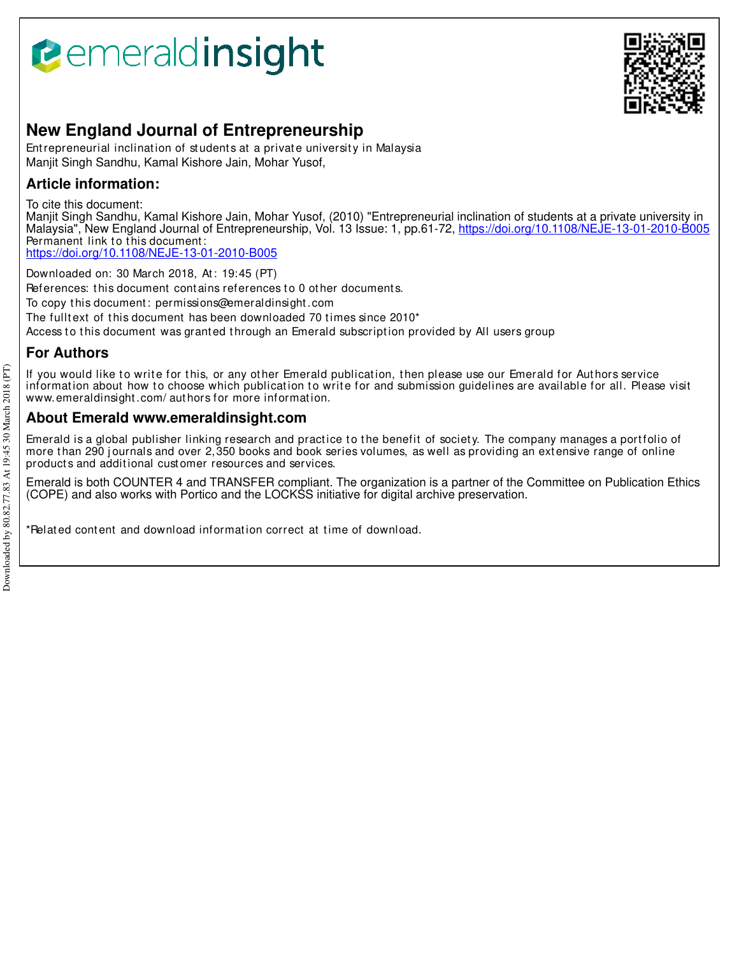# **B**emeraldinsight



## **New England Journal of Entrepreneurship**

Ent repreneurial inclination of students at a private university in Malaysia Manjit Singh Sandhu, Kamal Kishore Jain, Mohar Yusof,

## **Article information:**

To cite this document:

Manjit Singh Sandhu, Kamal Kishore Jain, Mohar Yusof, (2010) "Entrepreneurial inclination of students at a private university in Malaysia", New England Journal of Entrepreneurship, Vol. 13 Issue: 1, pp.61-72, <u>https://doi.org/10.1108/NEJE-13-01-2010-B005</u> Permanent link to this document:

https://doi.org/10.1108/NEJE-13-01-2010-B005

Downloaded on: 30 March 2018, At : 19:45 (PT) References: this document contains references to 0 other documents. To copy t his document : permissions@emeraldinsight .com The fulltext of this document has been downloaded 70 times since 2010\* Access to this document was granted through an Emerald subscription provided by All users group

## **For Authors**

If you would like to write for this, or any other Emerald publication, then please use our Emerald for Authors service information about how to choose which publication to write for and submission guidelines are available for all. Please visit www.emeraldinsight .com/ aut hors for more informat ion.

### **About Emerald www.emeraldinsight.com**

Emerald is a global publisher linking research and practice to the benefit of society. The company manages a portfolio of more than 290 journals and over 2,350 books and book series volumes, as well as providing an extensive range of online product s and addit ional cust omer resources and services.

Emerald is both COUNTER 4 and TRANSFER compliant. The organization is a partner of the Committee on Publication Ethics (COPE) and also works with Portico and the LOCKSS initiative for digital archive preservation.

\*Relat ed cont ent and download informat ion correct at t ime of download.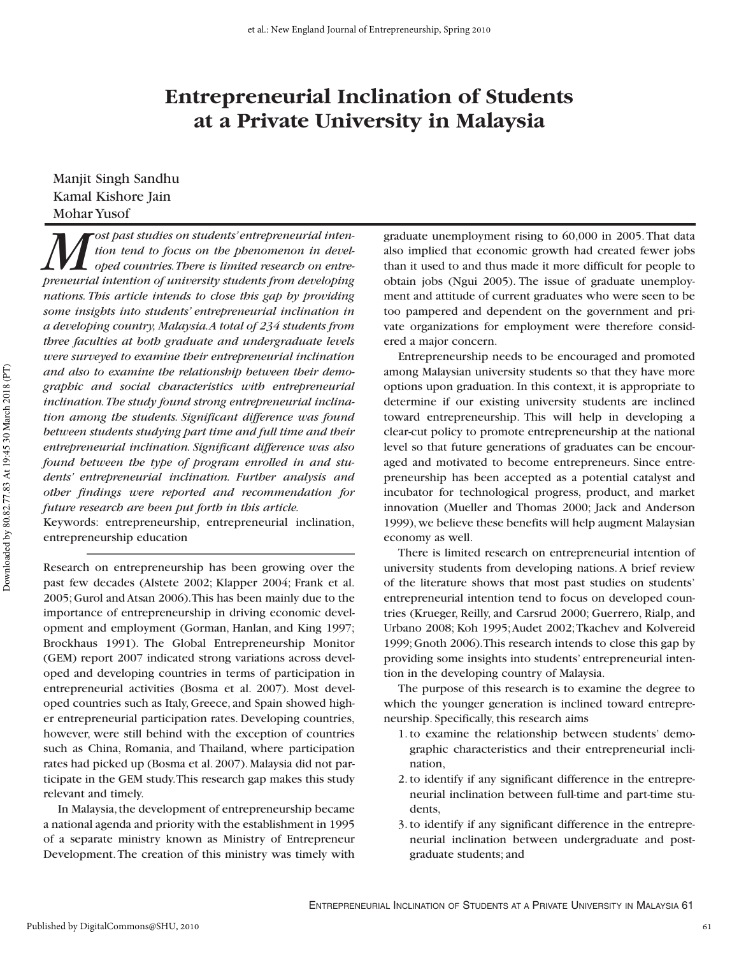## **Entrepreneurial Inclination of Students at a Private University in Malaysia**

Manjit Singh Sandhu Kamal Kishore Jain Mohar Yusof

*M post past studies on students' entrepreneurial intention tend to focus on the phenomenon in develforeneurial intention of university students from developing ost past studies on students'entrepreneurial intention tend to focus on the phenomenon in developed countries.There is limited research on entrenations. This article intends to close this gap by providing some insights into students' entrepreneurial inclination in a developing country, Malaysia.A total of 234 students from three faculties at both graduate and undergraduate levels were surveyed to examine their entrepreneurial inclination and also to examine the relationship between their demographic and social characteristics with entrepreneurial inclination.The study found strong entrepreneurial inclination among the students. Significant difference was found between students studying part time and full time and their entrepreneurial inclination. Significant difference was also found between the type of program enrolled in and students' entrepreneurial inclination. Further analysis and other findings were reported and recommendation for future research are been put forth in this article.*

Keywords: entrepreneurship, entrepreneurial inclination, entrepreneurship education

Research on entrepreneurship has been growing over the past few decades (Alstete 2002; Klapper 2004; Frank et al. 2005; Gurol and Atsan 2006).This has been mainly due to the importance of entrepreneurship in driving economic development and employment (Gorman, Hanlan, and King 1997; Brockhaus 1991). The Global Entrepreneurship Monitor (GEM) report 2007 indicated strong variations across developed and developing countries in terms of participation in entrepreneurial activities (Bosma et al. 2007). Most developed countries such as Italy, Greece, and Spain showed higher entrepreneurial participation rates. Developing countries, however, were still behind with the exception of countries such as China, Romania, and Thailand, where participation rates had picked up (Bosma et al. 2007). Malaysia did not participate in the GEM study.This research gap makes this study relevant and timely.

In Malaysia,the development of entrepreneurship became a national agenda and priority with the establishment in 1995 of a separate ministry known as Ministry of Entrepreneur Development.The creation of this ministry was timely with

graduate unemployment rising to 60,000 in 2005.That data also implied that economic growth had created fewer jobs than it used to and thus made it more difficult for people to obtain jobs (Ngui 2005). The issue of graduate unemployment and attitude of current graduates who were seen to be too pampered and dependent on the government and private organizations for employment were therefore considered a major concern.

Entrepreneurship needs to be encouraged and promoted among Malaysian university students so that they have more options upon graduation. In this context, it is appropriate to determine if our existing university students are inclined toward entrepreneurship. This will help in developing a clear-cut policy to promote entrepreneurship at the national level so that future generations of graduates can be encouraged and motivated to become entrepreneurs. Since entrepreneurship has been accepted as a potential catalyst and incubator for technological progress, product, and market innovation (Mueller and Thomas 2000; Jack and Anderson 1999),we believe these benefits will help augment Malaysian economy as well.

There is limited research on entrepreneurial intention of university students from developing nations. A brief review of the literature shows that most past studies on students' entrepreneurial intention tend to focus on developed countries (Krueger, Reilly, and Carsrud 2000; Guerrero, Rialp, and Urbano 2008; Koh 1995;Audet 2002;Tkachev and Kolvereid 1999; Gnoth 2006).This research intends to close this gap by providing some insights into students' entrepreneurial intention in the developing country of Malaysia.

The purpose of this research is to examine the degree to which the younger generation is inclined toward entrepreneurship. Specifically, this research aims

- 1. to examine the relationship between students' demographic characteristics and their entrepreneurial inclination,
- 2. to identify if any significant difference in the entrepreneurial inclination between full-time and part-time students,
- 3. to identify if any significant difference in the entrepreneurial inclination between undergraduate and postgraduate students; and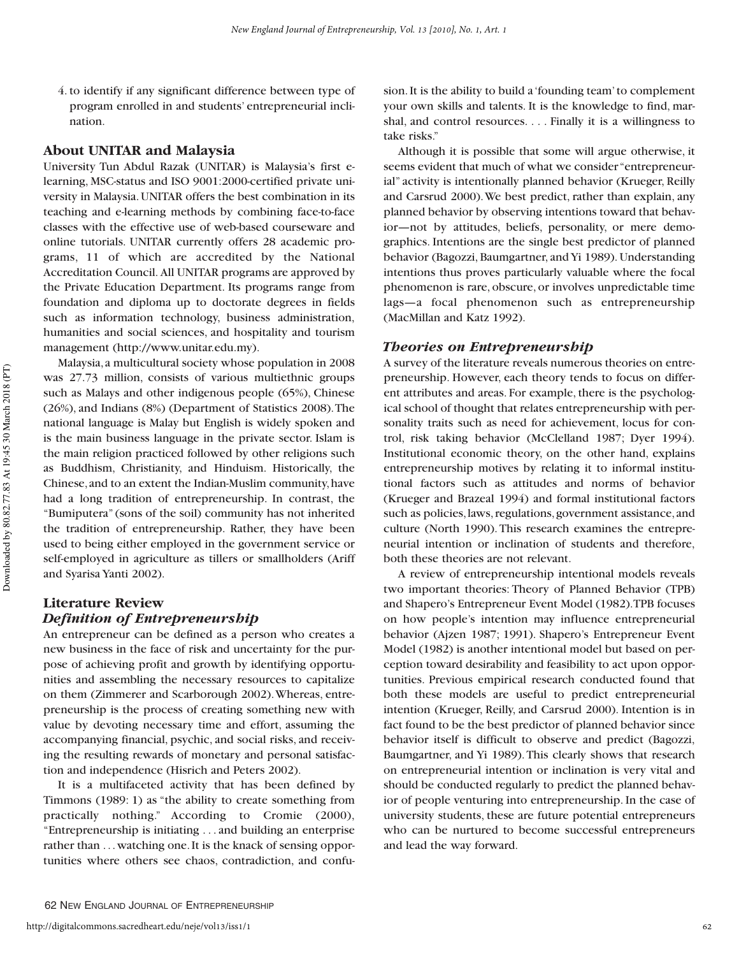4. to identify if any significant difference between type of program enrolled in and students' entrepreneurial inclination.

#### **About UNITAR and Malaysia**

University Tun Abdul Razak (UNITAR) is Malaysia's first elearning, MSC-status and ISO 9001:2000-certified private university in Malaysia. UNITAR offers the best combination in its teaching and e-learning methods by combining face-to-face classes with the effective use of web-based courseware and online tutorials. UNITAR currently offers 28 academic programs, 11 of which are accredited by the National Accreditation Council. All UNITAR programs are approved by the Private Education Department. Its programs range from foundation and diploma up to doctorate degrees in fields such as information technology, business administration, humanities and social sciences, and hospitality and tourism management (http://www.unitar.edu.my).

Malaysia, a multicultural society whose population in 2008 was 27.73 million, consists of various multiethnic groups such as Malays and other indigenous people (65%), Chinese (26%), and Indians (8%) (Department of Statistics 2008).The national language is Malay but English is widely spoken and is the main business language in the private sector. Islam is the main religion practiced followed by other religions such as Buddhism, Christianity, and Hinduism. Historically, the Chinese,and to an extent the Indian-Muslim community,have had a long tradition of entrepreneurship. In contrast, the "Bumiputera" (sons of the soil) community has not inherited the tradition of entrepreneurship. Rather, they have been used to being either employed in the government service or self-employed in agriculture as tillers or smallholders (Ariff and Syarisa Yanti 2002).

#### **Literature Review** *Definition of Entrepreneurship*

An entrepreneur can be defined as a person who creates a new business in the face of risk and uncertainty for the purpose of achieving profit and growth by identifying opportunities and assembling the necessary resources to capitalize on them (Zimmerer and Scarborough 2002).Whereas, entrepreneurship is the process of creating something new with value by devoting necessary time and effort, assuming the accompanying financial, psychic, and social risks, and receiving the resulting rewards of monetary and personal satisfaction and independence (Hisrich and Peters 2002).

It is a multifaceted activity that has been defined by Timmons (1989: 1) as "the ability to create something from practically nothing." According to Cromie (2000), "Entrepreneurship is initiating . . . and building an enterprise rather than ...watching one.It is the knack of sensing opportunities where others see chaos, contradiction, and confusion.It is the ability to build a 'founding team'to complement your own skills and talents. It is the knowledge to find, marshal, and control resources. . . . Finally it is a willingness to take risks."

Although it is possible that some will argue otherwise, it seems evident that much of what we consider "entrepreneurial" activity is intentionally planned behavior (Krueger, Reilly and Carsrud 2000).We best predict, rather than explain, any planned behavior by observing intentions toward that behavior—not by attitudes, beliefs, personality, or mere demographics. Intentions are the single best predictor of planned behavior (Bagozzi, Baumgartner, and Yi 1989). Understanding intentions thus proves particularly valuable where the focal phenomenon is rare, obscure, or involves unpredictable time lags—a focal phenomenon such as entrepreneurship (MacMillan and Katz 1992).

#### *Theories on Entrepreneurship*

A survey of the literature reveals numerous theories on entrepreneurship. However, each theory tends to focus on different attributes and areas. For example, there is the psychological school of thought that relates entrepreneurship with personality traits such as need for achievement, locus for control, risk taking behavior (McClelland 1987; Dyer 1994). Institutional economic theory, on the other hand, explains entrepreneurship motives by relating it to informal institutional factors such as attitudes and norms of behavior (Krueger and Brazeal 1994) and formal institutional factors such as policies, laws, regulations, government assistance, and culture (North 1990). This research examines the entrepreneurial intention or inclination of students and therefore, both these theories are not relevant.

A review of entrepreneurship intentional models reveals two important theories: Theory of Planned Behavior (TPB) and Shapero's Entrepreneur Event Model (1982).TPB focuses on how people's intention may influence entrepreneurial behavior (Ajzen 1987; 1991). Shapero's Entrepreneur Event Model (1982) is another intentional model but based on perception toward desirability and feasibility to act upon opportunities. Previous empirical research conducted found that both these models are useful to predict entrepreneurial intention (Krueger, Reilly, and Carsrud 2000). Intention is in fact found to be the best predictor of planned behavior since behavior itself is difficult to observe and predict (Bagozzi, Baumgartner, and Yi 1989).This clearly shows that research on entrepreneurial intention or inclination is very vital and should be conducted regularly to predict the planned behavior of people venturing into entrepreneurship. In the case of university students, these are future potential entrepreneurs who can be nurtured to become successful entrepreneurs and lead the way forward.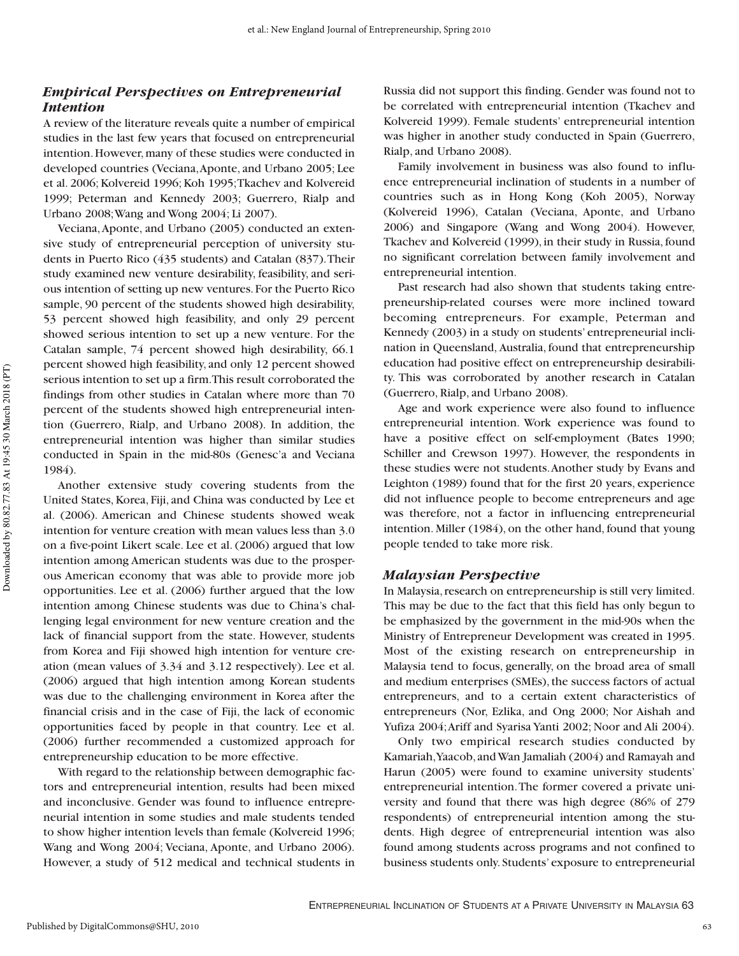#### *Empirical Perspectives on Entrepreneurial Intention*

A review of the literature reveals quite a number of empirical studies in the last few years that focused on entrepreneurial intention. However, many of these studies were conducted in developed countries (Veciana,Aponte, and Urbano 2005; Lee et al. 2006; Kolvereid 1996; Koh 1995;Tkachev and Kolvereid 1999; Peterman and Kennedy 2003; Guerrero, Rialp and Urbano 2008;Wang and Wong 2004; Li 2007).

Veciana,Aponte, and Urbano (2005) conducted an extensive study of entrepreneurial perception of university students in Puerto Rico (435 students) and Catalan (837).Their study examined new venture desirability, feasibility, and serious intention of setting up new ventures.For the Puerto Rico sample, 90 percent of the students showed high desirability, 53 percent showed high feasibility, and only 29 percent showed serious intention to set up a new venture. For the Catalan sample, 74 percent showed high desirability, 66.1 percent showed high feasibility, and only 12 percent showed serious intention to set up a firm.This result corroborated the findings from other studies in Catalan where more than 70 percent of the students showed high entrepreneurial intention (Guerrero, Rialp, and Urbano 2008). In addition, the entrepreneurial intention was higher than similar studies conducted in Spain in the mid-80s (Genesc'a and Veciana 1984).

Another extensive study covering students from the United States, Korea, Fiji, and China was conducted by Lee et al. (2006). American and Chinese students showed weak intention for venture creation with mean values less than 3.0 on a five-point Likert scale. Lee et al. (2006) argued that low intention among American students was due to the prosperous American economy that was able to provide more job opportunities. Lee et al. (2006) further argued that the low intention among Chinese students was due to China's challenging legal environment for new venture creation and the lack of financial support from the state. However, students from Korea and Fiji showed high intention for venture creation (mean values of 3.34 and 3.12 respectively). Lee et al. (2006) argued that high intention among Korean students was due to the challenging environment in Korea after the financial crisis and in the case of Fiji, the lack of economic opportunities faced by people in that country. Lee et al. (2006) further recommended a customized approach for entrepreneurship education to be more effective.

With regard to the relationship between demographic factors and entrepreneurial intention, results had been mixed and inconclusive. Gender was found to influence entrepreneurial intention in some studies and male students tended to show higher intention levels than female (Kolvereid 1996; Wang and Wong 2004; Veciana, Aponte, and Urbano 2006). However, a study of 512 medical and technical students in

Russia did not support this finding. Gender was found not to be correlated with entrepreneurial intention (Tkachev and Kolvereid 1999). Female students' entrepreneurial intention was higher in another study conducted in Spain (Guerrero, Rialp, and Urbano 2008).

Family involvement in business was also found to influence entrepreneurial inclination of students in a number of countries such as in Hong Kong (Koh 2005), Norway (Kolvereid 1996), Catalan (Veciana, Aponte, and Urbano 2006) and Singapore (Wang and Wong 2004). However, Tkachev and Kolvereid (1999), in their study in Russia, found no significant correlation between family involvement and entrepreneurial intention.

Past research had also shown that students taking entrepreneurship-related courses were more inclined toward becoming entrepreneurs. For example, Peterman and Kennedy (2003) in a study on students' entrepreneurial inclination in Queensland, Australia, found that entrepreneurship education had positive effect on entrepreneurship desirability. This was corroborated by another research in Catalan (Guerrero, Rialp, and Urbano 2008).

Age and work experience were also found to influence entrepreneurial intention. Work experience was found to have a positive effect on self-employment (Bates 1990; Schiller and Crewson 1997). However, the respondents in these studies were not students.Another study by Evans and Leighton (1989) found that for the first 20 years, experience did not influence people to become entrepreneurs and age was therefore, not a factor in influencing entrepreneurial intention. Miller (1984), on the other hand, found that young people tended to take more risk.

#### *Malaysian Perspective*

In Malaysia, research on entrepreneurship is still very limited. This may be due to the fact that this field has only begun to be emphasized by the government in the mid-90s when the Ministry of Entrepreneur Development was created in 1995. Most of the existing research on entrepreneurship in Malaysia tend to focus, generally, on the broad area of small and medium enterprises (SMEs), the success factors of actual entrepreneurs, and to a certain extent characteristics of entrepreneurs (Nor, Ezlika, and Ong 2000; Nor Aishah and Yufiza 2004;Ariff and Syarisa Yanti 2002; Noor and Ali 2004).

Only two empirical research studies conducted by Kamariah,Yaacob,and Wan Jamaliah (2004) and Ramayah and Harun (2005) were found to examine university students' entrepreneurial intention.The former covered a private university and found that there was high degree (86% of 279 respondents) of entrepreneurial intention among the students. High degree of entrepreneurial intention was also found among students across programs and not confined to business students only. Students' exposure to entrepreneurial

ENTREPRENEURIAL INCLINATION OF STUDENTS AT A PRIVATE UNIVERSITY IN MALAYSIA 63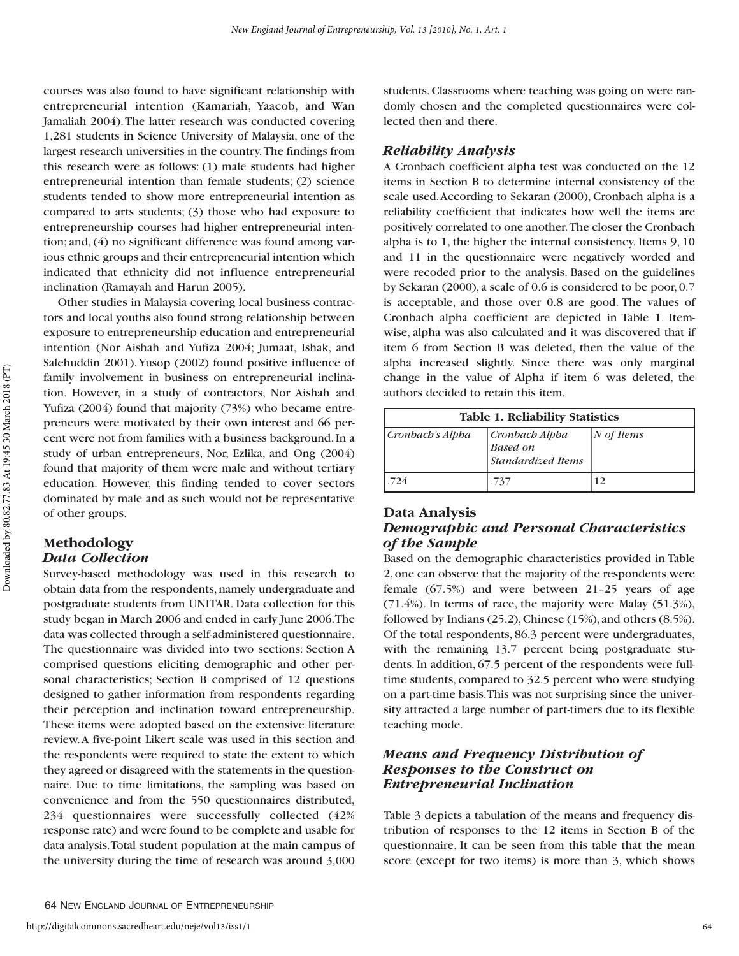courses was also found to have significant relationship with entrepreneurial intention (Kamariah, Yaacob, and Wan Jamaliah 2004).The latter research was conducted covering 1,281 students in Science University of Malaysia, one of the largest research universities in the country.The findings from this research were as follows: (1) male students had higher entrepreneurial intention than female students; (2) science students tended to show more entrepreneurial intention as compared to arts students; (3) those who had exposure to entrepreneurship courses had higher entrepreneurial intention; and, (4) no significant difference was found among various ethnic groups and their entrepreneurial intention which indicated that ethnicity did not influence entrepreneurial inclination (Ramayah and Harun 2005).

Other studies in Malaysia covering local business contractors and local youths also found strong relationship between exposure to entrepreneurship education and entrepreneurial intention (Nor Aishah and Yufiza 2004; Jumaat, Ishak, and Salehuddin 2001).Yusop (2002) found positive influence of family involvement in business on entrepreneurial inclination. However, in a study of contractors, Nor Aishah and Yufiza (2004) found that majority (73%) who became entrepreneurs were motivated by their own interest and 66 percent were not from families with a business background. In a study of urban entrepreneurs, Nor, Ezlika, and Ong (2004) found that majority of them were male and without tertiary education. However, this finding tended to cover sectors dominated by male and as such would not be representative of other groups.

#### **Methodology** *Data Collection*

Survey-based methodology was used in this research to obtain data from the respondents, namely undergraduate and postgraduate students from UNITAR. Data collection for this study began in March 2006 and ended in early June 2006.The data was collected through a self-administered questionnaire. The questionnaire was divided into two sections: Section A comprised questions eliciting demographic and other personal characteristics; Section B comprised of 12 questions designed to gather information from respondents regarding their perception and inclination toward entrepreneurship. These items were adopted based on the extensive literature review.A five-point Likert scale was used in this section and the respondents were required to state the extent to which they agreed or disagreed with the statements in the questionnaire. Due to time limitations, the sampling was based on convenience and from the 550 questionnaires distributed, 234 questionnaires were successfully collected (42% response rate) and were found to be complete and usable for data analysis.Total student population at the main campus of the university during the time of research was around 3,000

students. Classrooms where teaching was going on were randomly chosen and the completed questionnaires were collected then and there.

#### *Reliability Analysis*

A Cronbach coefficient alpha test was conducted on the 12 items in Section B to determine internal consistency of the scale used.According to Sekaran (2000), Cronbach alpha is a reliability coefficient that indicates how well the items are positively correlated to one another.The closer the Cronbach alpha is to 1, the higher the internal consistency. Items 9, 10 and 11 in the questionnaire were negatively worded and were recoded prior to the analysis. Based on the guidelines by Sekaran (2000), a scale of 0.6 is considered to be poor, 0.7 is acceptable, and those over 0.8 are good. The values of Cronbach alpha coefficient are depicted in Table 1. Itemwise, alpha was also calculated and it was discovered that if item 6 from Section B was deleted, then the value of the alpha increased slightly. Since there was only marginal change in the value of Alpha if item 6 was deleted, the authors decided to retain this item.

| <b>Table 1. Reliability Statistics</b> |                                                                |                               |  |  |
|----------------------------------------|----------------------------------------------------------------|-------------------------------|--|--|
| Cronbach's Alpha                       | Cronbach Alpha<br><b>Based on</b><br><b>Standardized Items</b> | $\lfloor N \text{ of }$ Items |  |  |
| 724                                    | .737                                                           | 12                            |  |  |

#### **Data Analysis** *Demographic and Personal Characteristics of the Sample*

Based on the demographic characteristics provided in Table 2,one can observe that the majority of the respondents were female (67.5%) and were between 21–25 years of age (71.4%). In terms of race, the majority were Malay (51.3%), followed by Indians  $(25.2)$ , Chinese  $(15%)$ , and others  $(8.5%)$ . Of the total respondents, 86.3 percent were undergraduates, with the remaining 13.7 percent being postgraduate students. In addition, 67.5 percent of the respondents were fulltime students, compared to 32.5 percent who were studying on a part-time basis.This was not surprising since the university attracted a large number of part-timers due to its flexible teaching mode.

#### *Means and Frequency Distribution of Responses to the Construct on Entrepreneurial Inclination*

Table 3 depicts a tabulation of the means and frequency distribution of responses to the 12 items in Section B of the questionnaire. It can be seen from this table that the mean score (except for two items) is more than 3, which shows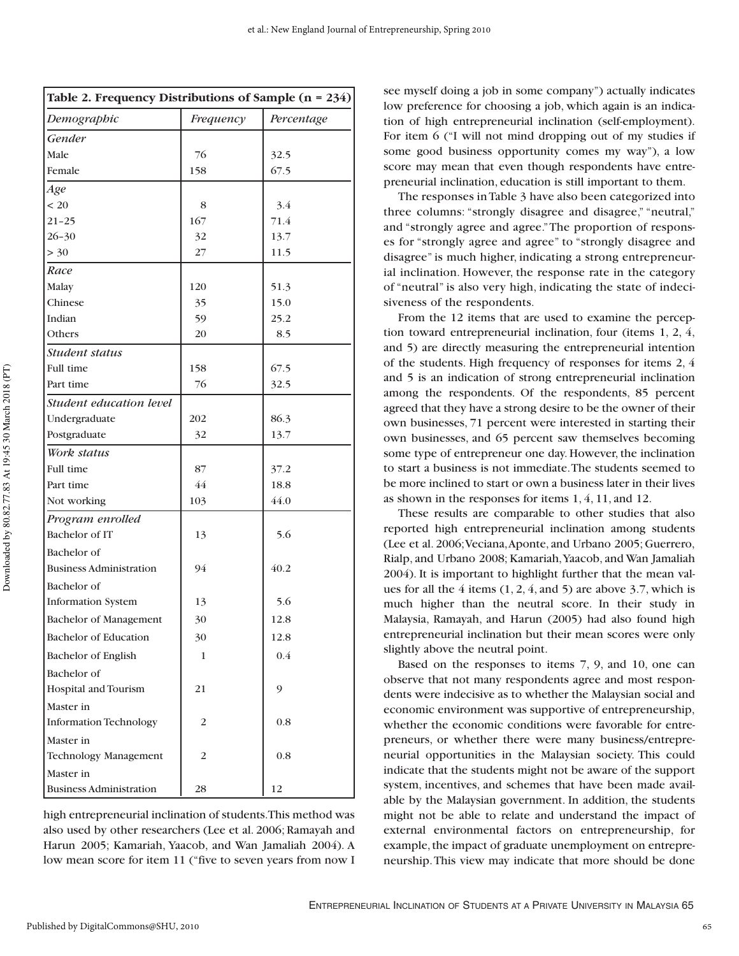| Table 2. Frequency Distributions of Sample $(n = 234)$ |           |            |  |
|--------------------------------------------------------|-----------|------------|--|
| Demographic                                            | Frequency | Percentage |  |
| Gender                                                 |           |            |  |
| Male                                                   | 76        | 32.5       |  |
| Female                                                 | 158       | 67.5       |  |
| Age                                                    |           |            |  |
| < 20                                                   | 8         | 3.4        |  |
| $21 - 25$                                              | 167       | 71.4       |  |
| $26 - 30$                                              | 32        | 13.7       |  |
| > 30                                                   | 27        | 11.5       |  |
| Race                                                   |           |            |  |
| Malay                                                  | 120       | 51.3       |  |
| Chinese                                                | 35        | 15.0       |  |
| Indian                                                 | 59        | 25.2       |  |
| Others                                                 | 20        | 8.5        |  |
| Student status                                         |           |            |  |
| <b>Full time</b>                                       | 158       | 67.5       |  |
| Part time                                              | 76        | 32.5       |  |
| Student education level                                |           |            |  |
| Undergraduate                                          | 202       | 86.3       |  |
| Postgraduate                                           | 32        | 13.7       |  |
| Work status                                            |           |            |  |
| <b>Full time</b>                                       | 87        | 37.2       |  |
| Part time                                              | 44        | 18.8       |  |
| Not working                                            | 103       | 44.0       |  |
| Program enrolled                                       |           |            |  |
| Bachelor of IT                                         | 13        | 5.6        |  |
| Bachelor of                                            |           |            |  |
| <b>Business Administration</b>                         | 94        | 40.2       |  |
| Bachelor of                                            |           |            |  |
| <b>Information System</b>                              | 13        | 5.6        |  |
| Bachelor of Management                                 | 30        | 12.8       |  |
| Bachelor of Education                                  | 30        | 12.8       |  |
| Bachelor of English                                    | 1         | 0.4        |  |
|                                                        |           |            |  |
| Bachelor of<br>Hospital and Tourism                    | 21        | 9          |  |
| Master in                                              |           |            |  |
|                                                        |           |            |  |
| <b>Information Technology</b>                          | 2         | 0.8        |  |
| Master in                                              |           |            |  |
| <b>Technology Management</b>                           | 2         | 0.8        |  |
| Master in                                              |           |            |  |
| <b>Business Administration</b>                         | 28        | 12         |  |

high entrepreneurial inclination of students.This method was also used by other researchers (Lee et al. 2006; Ramayah and Harun 2005; Kamariah, Yaacob, and Wan Jamaliah 2004). A low mean score for item 11 ("five to seven years from now I

see myself doing a job in some company") actually indicates low preference for choosing a job, which again is an indication of high entrepreneurial inclination (self-employment). For item 6 ("I will not mind dropping out of my studies if some good business opportunity comes my way"), a low score may mean that even though respondents have entrepreneurial inclination, education is still important to them.

The responses in Table 3 have also been categorized into three columns: "strongly disagree and disagree," "neutral," and "strongly agree and agree."The proportion of responses for "strongly agree and agree" to "strongly disagree and disagree" is much higher, indicating a strong entrepreneurial inclination. However, the response rate in the category of "neutral" is also very high, indicating the state of indecisiveness of the respondents.

From the 12 items that are used to examine the perception toward entrepreneurial inclination, four (items 1, 2, 4, and 5) are directly measuring the entrepreneurial intention of the students. High frequency of responses for items 2, 4 and 5 is an indication of strong entrepreneurial inclination among the respondents. Of the respondents, 85 percent agreed that they have a strong desire to be the owner of their own businesses, 71 percent were interested in starting their own businesses, and 65 percent saw themselves becoming some type of entrepreneur one day. However, the inclination to start a business is not immediate.The students seemed to be more inclined to start or own a business later in their lives as shown in the responses for items 1, 4, 11, and 12.

These results are comparable to other studies that also reported high entrepreneurial inclination among students (Lee et al. 2006;Veciana,Aponte, and Urbano 2005; Guerrero, Rialp, and Urbano 2008; Kamariah,Yaacob, and Wan Jamaliah 2004). It is important to highlight further that the mean values for all the  $4$  items  $(1, 2, 4,$  and  $5)$  are above  $3.7$ , which is much higher than the neutral score. In their study in Malaysia, Ramayah, and Harun (2005) had also found high entrepreneurial inclination but their mean scores were only slightly above the neutral point.

Based on the responses to items 7, 9, and 10, one can observe that not many respondents agree and most respondents were indecisive as to whether the Malaysian social and economic environment was supportive of entrepreneurship, whether the economic conditions were favorable for entrepreneurs, or whether there were many business/entrepreneurial opportunities in the Malaysian society. This could indicate that the students might not be aware of the support system, incentives, and schemes that have been made available by the Malaysian government. In addition, the students might not be able to relate and understand the impact of external environmental factors on entrepreneurship, for example, the impact of graduate unemployment on entrepreneurship.This view may indicate that more should be done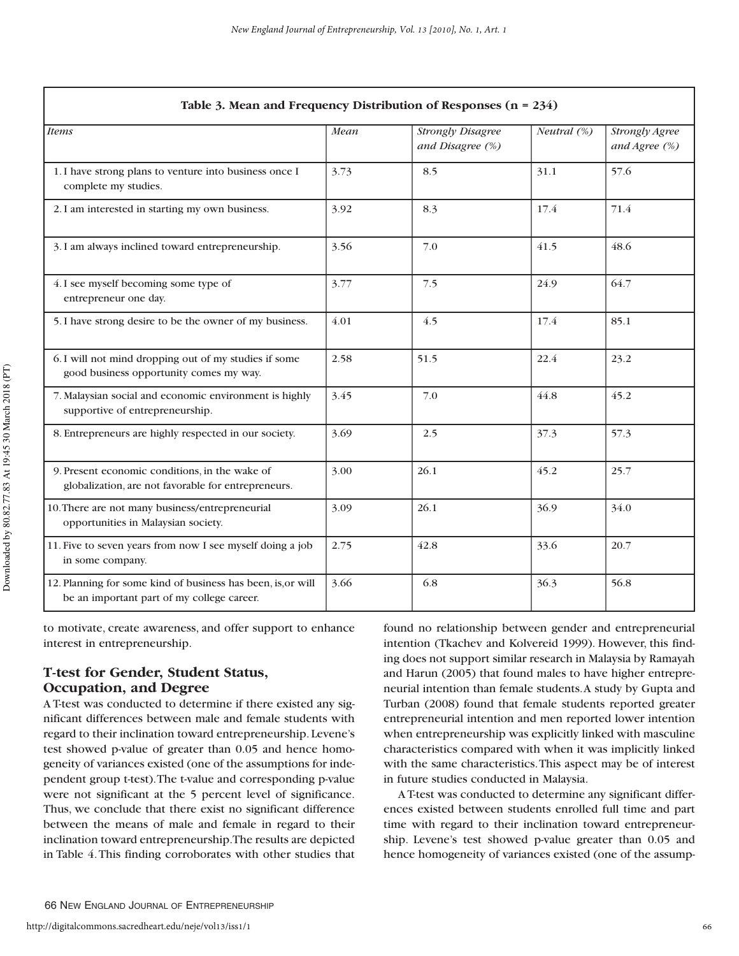| Tapic $j$ , mean and Prequency Distribution of Responses $(n - 2j\tau)$                                    |      |                                              |             |                                        |  |
|------------------------------------------------------------------------------------------------------------|------|----------------------------------------------|-------------|----------------------------------------|--|
| <b>Items</b>                                                                                               | Mean | <b>Strongly Disagree</b><br>and Disagree (%) | Neutral (%) | <b>Strongly Agree</b><br>and Agree (%) |  |
| 1. I have strong plans to venture into business once I<br>complete my studies.                             | 3.73 | 8.5                                          | 31.1        | 57.6                                   |  |
| 2. I am interested in starting my own business.                                                            | 3.92 | 8.3                                          | 17.4        | 71.4                                   |  |
| 3. I am always inclined toward entrepreneurship.                                                           | 3.56 | 7.0                                          | 41.5        | 48.6                                   |  |
| 4. I see myself becoming some type of<br>entrepreneur one day.                                             | 3.77 | 7.5                                          | 24.9        | 64.7                                   |  |
| 5. I have strong desire to be the owner of my business.                                                    | 4.01 | 4.5                                          | 17.4        | 85.1                                   |  |
| 6. I will not mind dropping out of my studies if some<br>good business opportunity comes my way.           | 2.58 | 51.5                                         | 22.4        | 23.2                                   |  |
| 7. Malaysian social and economic environment is highly<br>supportive of entrepreneurship.                  | 3.45 | 7.0                                          | 44.8        | 45.2                                   |  |
| 8. Entrepreneurs are highly respected in our society.                                                      | 3.69 | 2.5                                          | 37.3        | 57.3                                   |  |
| 9. Present economic conditions, in the wake of<br>globalization, are not favorable for entrepreneurs.      | 3.00 | 26.1                                         | 45.2        | 25.7                                   |  |
| 10. There are not many business/entrepreneurial<br>opportunities in Malaysian society.                     | 3.09 | 26.1                                         | 36.9        | 34.0                                   |  |
| 11. Five to seven years from now I see myself doing a job<br>in some company.                              | 2.75 | 42.8                                         | 33.6        | 20.7                                   |  |
| 12. Planning for some kind of business has been, is, or will<br>be an important part of my college career. | 3.66 | 6.8                                          | 36.3        | 56.8                                   |  |

| Table 3. Mean and Frequency Distribution of Responses $(n = 234)$ |  |  |  |
|-------------------------------------------------------------------|--|--|--|
|-------------------------------------------------------------------|--|--|--|

to motivate, create awareness, and offer support to enhance interest in entrepreneurship.

#### **T-test for Gender, Student Status, Occupation, and Degree**

A T-test was conducted to determine if there existed any significant differences between male and female students with regard to their inclination toward entrepreneurship.Levene's test showed p-value of greater than 0.05 and hence homogeneity of variances existed (one of the assumptions for independent group t-test).The t-value and corresponding p-value were not significant at the 5 percent level of significance. Thus, we conclude that there exist no significant difference between the means of male and female in regard to their inclination toward entrepreneurship.The results are depicted in Table 4.This finding corroborates with other studies that found no relationship between gender and entrepreneurial intention (Tkachev and Kolvereid 1999). However, this finding does not support similar research in Malaysia by Ramayah and Harun (2005) that found males to have higher entrepreneurial intention than female students.A study by Gupta and Turban (2008) found that female students reported greater entrepreneurial intention and men reported lower intention when entrepreneurship was explicitly linked with masculine characteristics compared with when it was implicitly linked with the same characteristics.This aspect may be of interest in future studies conducted in Malaysia.

AT-test was conducted to determine any significant differences existed between students enrolled full time and part time with regard to their inclination toward entrepreneurship. Levene's test showed p-value greater than 0.05 and hence homogeneity of variances existed (one of the assump-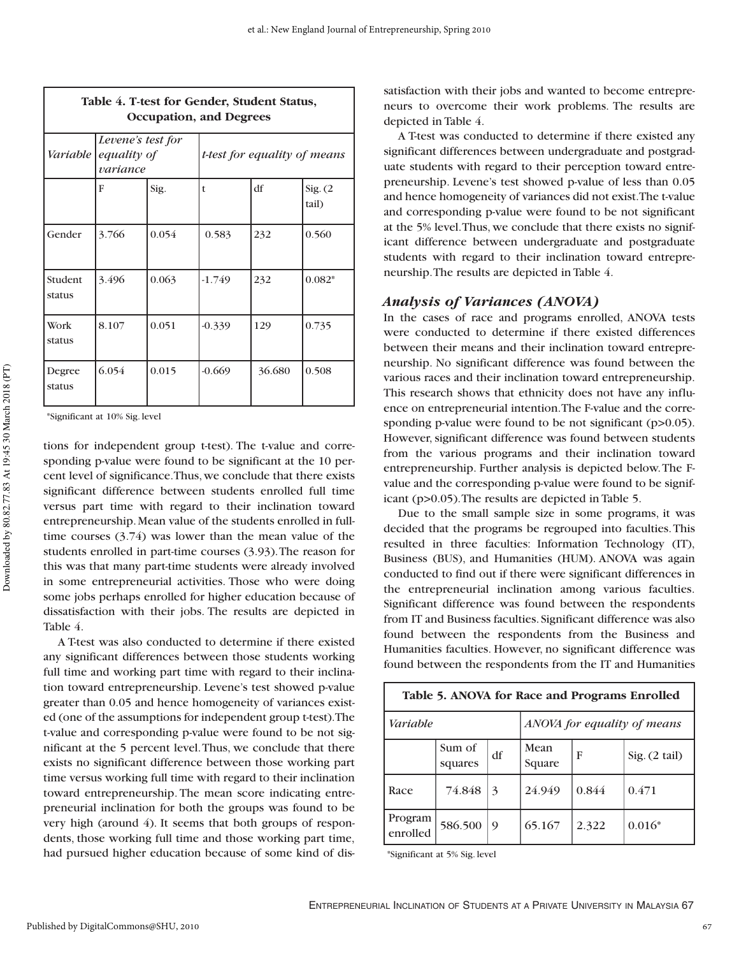| Table 4. T-test for Gender, Student Status,<br><b>Occupation, and Degrees</b> |                                                       |       |                                     |        |                     |  |
|-------------------------------------------------------------------------------|-------------------------------------------------------|-------|-------------------------------------|--------|---------------------|--|
|                                                                               | Levene's test for<br>Variable equality of<br>variance |       | <i>t-test for equality of means</i> |        |                     |  |
|                                                                               | $_{\rm F}$                                            | Sig.  | t.                                  | df     | Sig. $(2)$<br>tail) |  |
| Gender                                                                        | 3.766                                                 | 0.054 | 0.583                               | 232    | 0.560               |  |
| Student<br>status                                                             | 3.496                                                 | 0.063 | $-1.749$                            | 232    | $0.082*$            |  |
| Work<br>status                                                                | 8.107                                                 | 0.051 | $-0.339$                            | 129    | 0.735               |  |
| Degree<br>status                                                              | 6.054                                                 | 0.015 | $-0.669$                            | 36.680 | 0.508               |  |

\*Significant at 10% Sig. level

tions for independent group t-test). The t-value and corresponding p-value were found to be significant at the 10 percent level of significance.Thus, we conclude that there exists significant difference between students enrolled full time versus part time with regard to their inclination toward entrepreneurship.Mean value of the students enrolled in fulltime courses (3.74) was lower than the mean value of the students enrolled in part-time courses (3.93).The reason for this was that many part-time students were already involved in some entrepreneurial activities. Those who were doing some jobs perhaps enrolled for higher education because of dissatisfaction with their jobs. The results are depicted in Table 4.

A T-test was also conducted to determine if there existed any significant differences between those students working full time and working part time with regard to their inclination toward entrepreneurship. Levene's test showed p-value greater than 0.05 and hence homogeneity of variances existed (one of the assumptions for independent group t-test).The t-value and corresponding p-value were found to be not significant at the 5 percent level.Thus, we conclude that there exists no significant difference between those working part time versus working full time with regard to their inclination toward entrepreneurship. The mean score indicating entrepreneurial inclination for both the groups was found to be very high (around 4). It seems that both groups of respondents, those working full time and those working part time, had pursued higher education because of some kind of dissatisfaction with their jobs and wanted to become entrepreneurs to overcome their work problems. The results are depicted in Table 4.

A T-test was conducted to determine if there existed any significant differences between undergraduate and postgraduate students with regard to their perception toward entrepreneurship. Levene's test showed p-value of less than 0.05 and hence homogeneity of variances did not exist.The t-value and corresponding p-value were found to be not significant at the 5% level.Thus, we conclude that there exists no significant difference between undergraduate and postgraduate students with regard to their inclination toward entrepreneurship.The results are depicted in Table 4.

#### *Analysis of Variances (ANOVA)*

In the cases of race and programs enrolled, ANOVA tests were conducted to determine if there existed differences between their means and their inclination toward entrepreneurship. No significant difference was found between the various races and their inclination toward entrepreneurship. This research shows that ethnicity does not have any influence on entrepreneurial intention.The F-value and the corresponding p-value were found to be not significant (p>0.05). However, significant difference was found between students from the various programs and their inclination toward entrepreneurship. Further analysis is depicted below.The Fvalue and the corresponding p-value were found to be significant (p>0.05).The results are depicted in Table 5.

Due to the small sample size in some programs, it was decided that the programs be regrouped into faculties.This resulted in three faculties: Information Technology (IT), Business (BUS), and Humanities (HUM). ANOVA was again conducted to find out if there were significant differences in the entrepreneurial inclination among various faculties. Significant difference was found between the respondents from IT and Business faculties.Significant difference was also found between the respondents from the Business and Humanities faculties. However, no significant difference was found between the respondents from the IT and Humanities

| Table 5. ANOVA for Race and Programs Enrolled |                   |    |                |       |               |
|-----------------------------------------------|-------------------|----|----------------|-------|---------------|
| Variable<br>ANOVA for equality of means       |                   |    |                |       |               |
|                                               | Sum of<br>squares | df | Mean<br>Square | F     | Sig. (2 tail) |
| <b>Race</b>                                   | 74.848            | 3  | 24.949         | 0.844 | 0.471         |
| Program<br>enrolled                           | 586.500           | 9  | 65.167         | 2.322 | $0.016*$      |

\*Significant at 5% Sig. level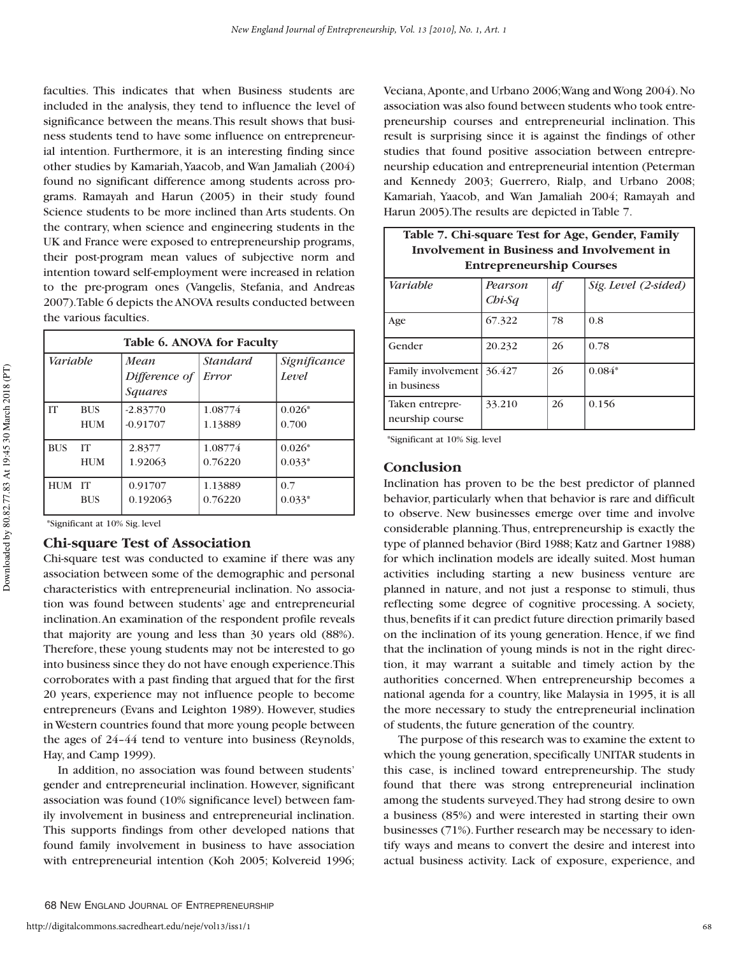faculties. This indicates that when Business students are included in the analysis, they tend to influence the level of significance between the means.This result shows that business students tend to have some influence on entrepreneurial intention. Furthermore, it is an interesting finding since other studies by Kamariah,Yaacob, and Wan Jamaliah (2004) found no significant difference among students across programs. Ramayah and Harun (2005) in their study found Science students to be more inclined than Arts students. On the contrary, when science and engineering students in the UK and France were exposed to entrepreneurship programs, their post-program mean values of subjective norm and intention toward self-employment were increased in relation to the pre-program ones (Vangelis, Stefania, and Andreas 2007).Table 6 depicts the ANOVA results conducted between the various faculties.

| Table 6. ANOVA for Faculty |                          |                                         |                          |                       |  |
|----------------------------|--------------------------|-----------------------------------------|--------------------------|-----------------------|--|
| Variable                   |                          | Mean<br>Difference of<br><b>Squares</b> | <b>Standard</b><br>Error | Significance<br>Level |  |
| <b>IT</b>                  | <b>BUS</b><br><b>HUM</b> | $-2.83770$<br>$-0.91707$                | 1.08774<br>1.13889       | $0.026*$<br>0.700     |  |
| <b>BUS</b>                 | <b>TT</b><br><b>HUM</b>  | 2.8377<br>1.92063                       | 1.08774<br>0.76220       | $0.026*$<br>$0.033*$  |  |
| HUM IT                     | <b>BUS</b>               | 0.91707<br>0.192063                     | 1.13889<br>0.76220       | 0.7<br>$0.033*$       |  |

\*Significant at 10% Sig. level

#### **Chi-square Test of Association**

Chi-square test was conducted to examine if there was any association between some of the demographic and personal characteristics with entrepreneurial inclination. No association was found between students' age and entrepreneurial inclination.An examination of the respondent profile reveals that majority are young and less than 30 years old (88%). Therefore, these young students may not be interested to go into business since they do not have enough experience.This corroborates with a past finding that argued that for the first 20 years, experience may not influence people to become entrepreneurs (Evans and Leighton 1989). However, studies in Western countries found that more young people between the ages of 24–44 tend to venture into business (Reynolds, Hay, and Camp 1999).

In addition, no association was found between students' gender and entrepreneurial inclination. However, significant association was found (10% significance level) between family involvement in business and entrepreneurial inclination. This supports findings from other developed nations that found family involvement in business to have association with entrepreneurial intention (Koh 2005; Kolvereid 1996; Veciana,Aponte,and Urbano 2006;Wang and Wong 2004).No association was also found between students who took entrepreneurship courses and entrepreneurial inclination. This result is surprising since it is against the findings of other studies that found positive association between entrepreneurship education and entrepreneurial intention (Peterman and Kennedy 2003; Guerrero, Rialp, and Urbano 2008; Kamariah, Yaacob, and Wan Jamaliah 2004; Ramayah and Harun 2005).The results are depicted in Table 7.

| Table 7. Chi-square Test for Age, Gender, Family<br><b>Involvement in Business and Involvement in</b><br><b>Entrepreneurship Courses</b> |                      |    |                      |  |  |
|------------------------------------------------------------------------------------------------------------------------------------------|----------------------|----|----------------------|--|--|
| Variable                                                                                                                                 | Pearson<br>$Chi$ -Sq | df | Sig. Level (2-sided) |  |  |
| Age                                                                                                                                      | 67.322               | 78 | 0.8                  |  |  |
| Gender                                                                                                                                   | 20.232               | 26 | 0.78                 |  |  |
| Family involvement<br>in business                                                                                                        | 36.427               | 26 | $0.084*$             |  |  |
| Taken entrepre-<br>neurship course                                                                                                       | 33.210               | 26 | 0.156                |  |  |

\*Significant at 10% Sig. level

#### **Conclusion**

Inclination has proven to be the best predictor of planned behavior, particularly when that behavior is rare and difficult to observe. New businesses emerge over time and involve considerable planning.Thus, entrepreneurship is exactly the type of planned behavior (Bird 1988; Katz and Gartner 1988) for which inclination models are ideally suited. Most human activities including starting a new business venture are planned in nature, and not just a response to stimuli, thus reflecting some degree of cognitive processing. A society, thus,benefits if it can predict future direction primarily based on the inclination of its young generation. Hence, if we find that the inclination of young minds is not in the right direction, it may warrant a suitable and timely action by the authorities concerned. When entrepreneurship becomes a national agenda for a country, like Malaysia in 1995, it is all the more necessary to study the entrepreneurial inclination of students, the future generation of the country.

The purpose of this research was to examine the extent to which the young generation, specifically UNITAR students in this case, is inclined toward entrepreneurship. The study found that there was strong entrepreneurial inclination among the students surveyed.They had strong desire to own a business (85%) and were interested in starting their own businesses (71%). Further research may be necessary to identify ways and means to convert the desire and interest into actual business activity. Lack of exposure, experience, and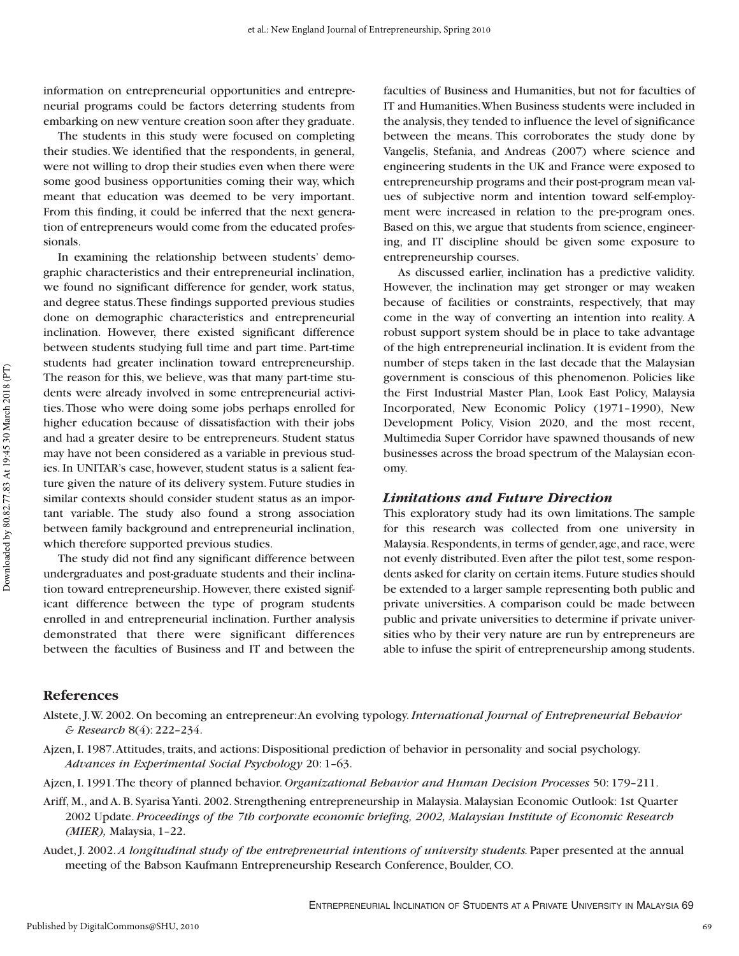information on entrepreneurial opportunities and entrepreneurial programs could be factors deterring students from embarking on new venture creation soon after they graduate.

The students in this study were focused on completing their studies. We identified that the respondents, in general, were not willing to drop their studies even when there were some good business opportunities coming their way, which meant that education was deemed to be very important. From this finding, it could be inferred that the next generation of entrepreneurs would come from the educated professionals.

In examining the relationship between students' demographic characteristics and their entrepreneurial inclination, we found no significant difference for gender, work status, and degree status.These findings supported previous studies done on demographic characteristics and entrepreneurial inclination. However, there existed significant difference between students studying full time and part time. Part-time students had greater inclination toward entrepreneurship. The reason for this, we believe, was that many part-time students were already involved in some entrepreneurial activities.Those who were doing some jobs perhaps enrolled for higher education because of dissatisfaction with their jobs and had a greater desire to be entrepreneurs. Student status may have not been considered as a variable in previous studies. In UNITAR's case, however, student status is a salient feature given the nature of its delivery system. Future studies in similar contexts should consider student status as an important variable. The study also found a strong association between family background and entrepreneurial inclination, which therefore supported previous studies.

The study did not find any significant difference between undergraduates and post-graduate students and their inclination toward entrepreneurship. However, there existed significant difference between the type of program students enrolled in and entrepreneurial inclination. Further analysis demonstrated that there were significant differences between the faculties of Business and IT and between the faculties of Business and Humanities, but not for faculties of IT and Humanities.When Business students were included in the analysis,they tended to influence the level of significance between the means. This corroborates the study done by Vangelis, Stefania, and Andreas (2007) where science and engineering students in the UK and France were exposed to entrepreneurship programs and their post-program mean values of subjective norm and intention toward self-employment were increased in relation to the pre-program ones. Based on this, we argue that students from science, engineering, and IT discipline should be given some exposure to entrepreneurship courses.

As discussed earlier, inclination has a predictive validity. However, the inclination may get stronger or may weaken because of facilities or constraints, respectively, that may come in the way of converting an intention into reality. A robust support system should be in place to take advantage of the high entrepreneurial inclination. It is evident from the number of steps taken in the last decade that the Malaysian government is conscious of this phenomenon. Policies like the First Industrial Master Plan, Look East Policy, Malaysia Incorporated, New Economic Policy (1971–1990), New Development Policy, Vision 2020, and the most recent, Multimedia Super Corridor have spawned thousands of new businesses across the broad spectrum of the Malaysian economy.

#### *Limitations and Future Direction*

This exploratory study had its own limitations. The sample for this research was collected from one university in Malaysia. Respondents, in terms of gender, age, and race, were not evenly distributed. Even after the pilot test, some respondents asked for clarity on certain items.Future studies should be extended to a larger sample representing both public and private universities. A comparison could be made between public and private universities to determine if private universities who by their very nature are run by entrepreneurs are able to infuse the spirit of entrepreneurship among students.

#### **References**

- Alstete, J.W. 2002. On becoming an entrepreneur:An evolving typology.*International Journal of Entrepreneurial Behavior & Research* 8(4): 222–234.
- Ajzen, I. 1987.Attitudes, traits, and actions: Dispositional prediction of behavior in personality and social psychology. *Advances in Experimental Social Psychology* 20: 1–63.
- Ajzen, I. 1991.The theory of planned behavior. *Organizational Behavior and Human Decision Processes* 50: 179–211.
- Ariff, M., and A. B. Syarisa Yanti. 2002. Strengthening entrepreneurship in Malaysia. Malaysian Economic Outlook: 1st Quarter 2002 Update. *Proceedings of the 7th corporate economic briefing, 2002, Malaysian Institute of Economic Research (MIER),* Malaysia, 1–22.
- Audet, J. 2002. *A longitudinal study of the entrepreneurial intentions of university students.* Paper presented at the annual meeting of the Babson Kaufmann Entrepreneurship Research Conference, Boulder, CO.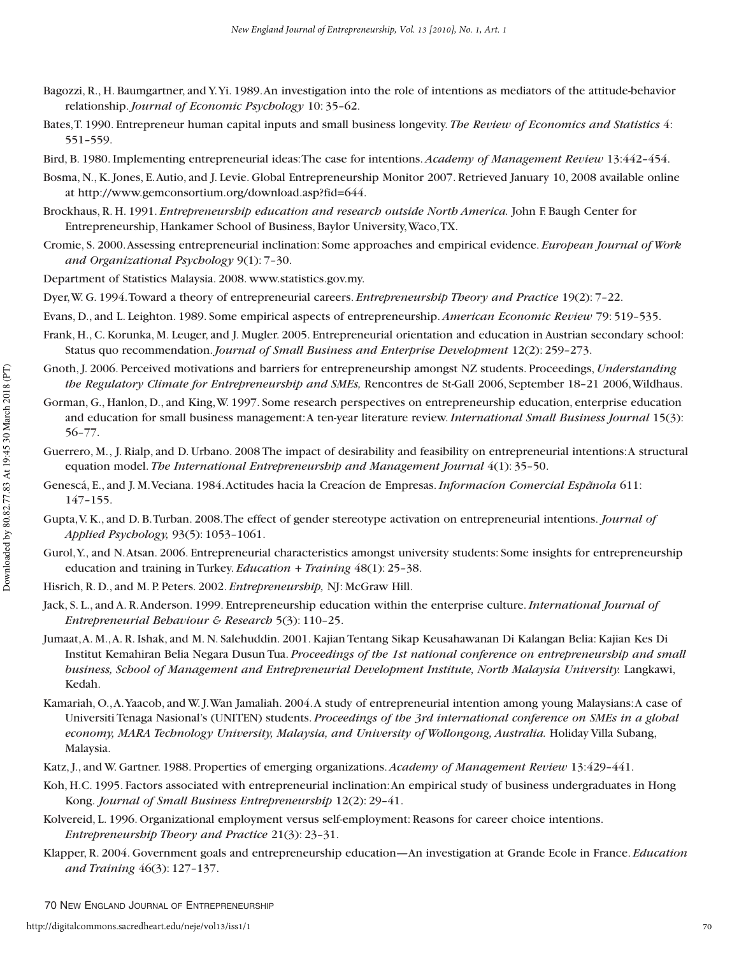- Bagozzi, R., H. Baumgartner, and Y.Yi. 1989.An investigation into the role of intentions as mediators of the attitude-behavior relationship.*Journal of Economic Psychology* 10: 35–62.
- Bates,T. 1990. Entrepreneur human capital inputs and small business longevity. *The Review of Economics and Statistics* 4: 551–559.
- Bird, B. 1980. Implementing entrepreneurial ideas:The case for intentions. *Academy of Management Review* 13:442–454.
- Bosma, N., K. Jones, E.Autio, and J. Levie. Global Entrepreneurship Monitor 2007. Retrieved January 10, 2008 available online at http://www.gemconsortium.org/download.asp?fid=644.
- Brockhaus, R. H. 1991. *Entrepreneurship education and research outside North America.* John F. Baugh Center for Entrepreneurship, Hankamer School of Business, Baylor University,Waco,TX.
- Cromie, S. 2000.Assessing entrepreneurial inclination: Some approaches and empirical evidence. *European Journal of Work and Organizational Psychology* 9(1): 7–30.
- Department of Statistics Malaysia. 2008. www.statistics.gov.my.
- Dyer,W. G. 1994.Toward a theory of entrepreneurial careers. *Entrepreneurship Theory and Practice* 19(2): 7–22.
- Evans, D., and L. Leighton. 1989. Some empirical aspects of entrepreneurship. *American Economic Review* 79: 519–535.
- Frank, H., C. Korunka, M. Leuger, and J. Mugler. 2005. Entrepreneurial orientation and education in Austrian secondary school: Status quo recommendation.*Journal of Small Business and Enterprise Development* 12(2): 259–273.
- Gnoth, J. 2006. Perceived motivations and barriers for entrepreneurship amongst NZ students. Proceedings, *Understanding the Regulatory Climate for Entrepreneurship and SMEs,* Rencontres de St-Gall 2006, September 18–21 2006,Wildhaus.
- Gorman, G., Hanlon, D., and King,W. 1997. Some research perspectives on entrepreneurship education, enterprise education and education for small business management:A ten-year literature review.*International Small Business Journal* 15(3): 56–77.
- Guerrero, M., J. Rialp, and D. Urbano. 2008 The impact of desirability and feasibility on entrepreneurial intentions:A structural equation model. *The International Entrepreneurship and Management Journal* 4(1): 35–50.
- Genescá, E., and J. M. Veciana. 1984. Actitudes hacia la Creacíon de Empresas. *Informacíon Comercial Espãnola* 611: 147–155.
- Gupta,V. K., and D. B.Turban. 2008.The effect of gender stereotype activation on entrepreneurial intentions. *Journal of Applied Psychology,* 93(5): 1053–1061.
- Gurol,Y., and N.Atsan. 2006. Entrepreneurial characteristics amongst university students: Some insights for entrepreneurship education and training in Turkey. *Education + Training* 48(1): 25–38.
- Hisrich, R. D., and M. P. Peters. 2002. *Entrepreneurship,* NJ: McGraw Hill.
- Jack, S. L., and A. R.Anderson. 1999. Entrepreneurship education within the enterprise culture.*International Journal of Entrepreneurial Behaviour & Research* 5(3): 110–25.
- Jumaat,A. M.,A. R. Ishak, and M. N. Salehuddin. 2001. Kajian Tentang Sikap Keusahawanan Di Kalangan Belia: Kajian Kes Di Institut Kemahiran Belia Negara Dusun Tua. *Proceedings of the 1st national conference on entrepreneurship and small business, School of Management and Entrepreneurial Development Institute, North Malaysia University.* Langkawi, Kedah.
- Kamariah, O.,A.Yaacob, and W. J.Wan Jamaliah. 2004.A study of entrepreneurial intention among young Malaysians:A case of Universiti Tenaga Nasional's (UNITEN) students. *Proceedings of the 3rd international conference on SMEs in a global economy, MARA Technology University, Malaysia, and University of Wollongong, Australia.* Holiday Villa Subang, Malaysia.
- Katz, J., and W. Gartner. 1988. Properties of emerging organizations. *Academy of Management Review* 13:429–441.
- Koh, H.C. 1995. Factors associated with entrepreneurial inclination:An empirical study of business undergraduates in Hong Kong. *Journal of Small Business Entrepreneurship* 12(2): 29–41.
- Kolvereid, L. 1996. Organizational employment versus self-employment: Reasons for career choice intentions. *Entrepreneurship Theory and Practice* 21(3): 23–31.
- Klapper, R. 2004. Government goals and entrepreneurship education—An investigation at Grande Ecole in France. *Education and Training* 46(3): 127–137.

70 NEW ENGLAND JOURNAL OF ENTREPRENEURSHIP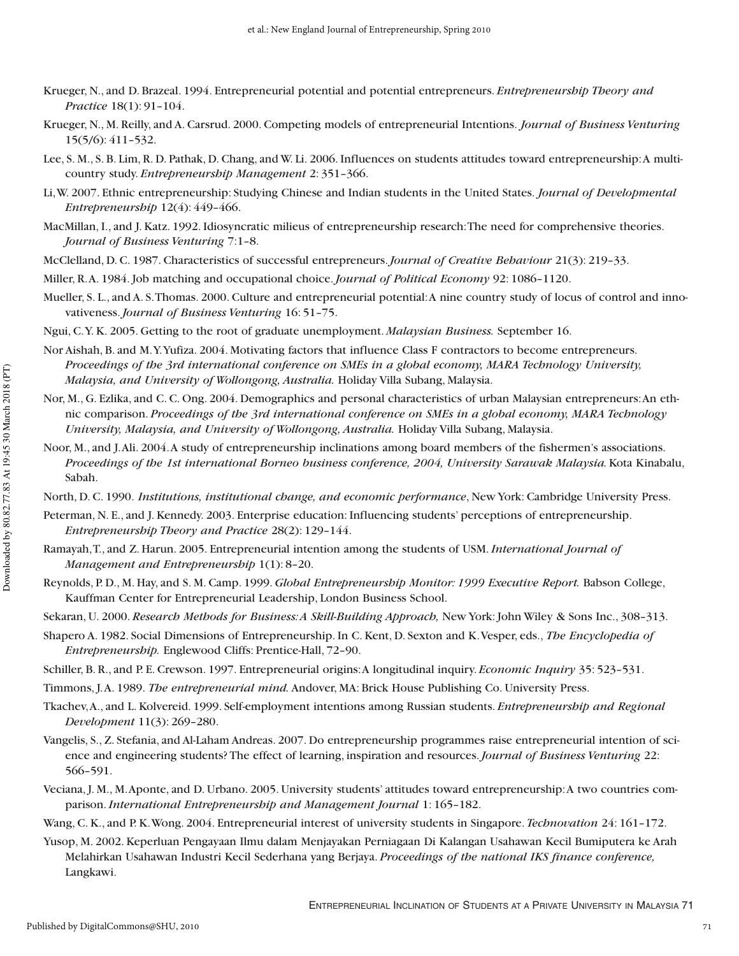- Krueger, N., and D. Brazeal. 1994. Entrepreneurial potential and potential entrepreneurs. *Entrepreneurship Theory and Practice* 18(1): 91–104.
- Krueger, N., M. Reilly, and A. Carsrud. 2000. Competing models of entrepreneurial Intentions. *Journal of Business Venturing* 15(5/6): 411–532.
- Lee, S. M., S. B. Lim, R. D. Pathak, D. Chang, and W. Li. 2006. Influences on students attitudes toward entrepreneurship:A multicountry study. *Entrepreneurship Management* 2: 351–366.
- Li,W. 2007. Ethnic entrepreneurship: Studying Chinese and Indian students in the United States. *Journal of Developmental Entrepreneurship* 12(4): 449–466.
- MacMillan, I., and J. Katz. 1992. Idiosyncratic milieus of entrepreneurship research:The need for comprehensive theories. *Journal of Business Venturing* 7:1–8.
- McClelland, D. C. 1987. Characteristics of successful entrepreneurs.*Journal of Creative Behaviour* 21(3): 219–33.
- Miller, R.A. 1984. Job matching and occupational choice.*Journal of Political Economy* 92: 1086–1120.
- Mueller, S. L., and A. S.Thomas. 2000. Culture and entrepreneurial potential:A nine country study of locus of control and innovativeness.*Journal of Business Venturing* 16: 51–75.
- Ngui, C.Y. K. 2005. Getting to the root of graduate unemployment. *Malaysian Business.* September 16.
- Nor Aishah, B. and M.Y.Yufiza. 2004. Motivating factors that influence Class F contractors to become entrepreneurs. *Proceedings of the 3rd international conference on SMEs in a global economy, MARA Technology University, Malaysia, and University of Wollongong, Australia.* Holiday Villa Subang, Malaysia.
- Nor, M., G. Ezlika, and C. C. Ong. 2004. Demographics and personal characteristics of urban Malaysian entrepreneurs:An ethnic comparison. *Proceedings of the 3rd international conference on SMEs in a global economy, MARA Technology University, Malaysia, and University of Wollongong, Australia.* Holiday Villa Subang, Malaysia.
- Noor, M., and J.Ali. 2004.A study of entrepreneurship inclinations among board members of the fishermen's associations. *Proceedings of the 1st international Borneo business conference, 2004, University Sarawak Malaysia.*Kota Kinabalu, Sabah.
- North, D. C. 1990. *Institutions, institutional change, and economic performance*, New York: Cambridge University Press.
- Peterman, N. E., and J. Kennedy. 2003. Enterprise education: Influencing students' perceptions of entrepreneurship. *Entrepreneurship Theory and Practice* 28(2): 129–144.
- Ramayah,T., and Z. Harun. 2005. Entrepreneurial intention among the students of USM.*International Journal of Management and Entrepreneurship* 1(1): 8–20.
- Reynolds, P. D., M. Hay, and S. M. Camp. 1999. *Global Entrepreneurship Monitor: 1999 Executive Report.* Babson College, Kauffman Center for Entrepreneurial Leadership, London Business School.
- Sekaran, U. 2000. *Research Methods for Business:A Skill-Building Approach,* New York: John Wiley & Sons Inc., 308–313.
- Shapero A. 1982. Social Dimensions of Entrepreneurship. In C. Kent, D. Sexton and K.Vesper, eds., *The Encyclopedia of Entrepreneurship.* Englewood Cliffs: Prentice-Hall, 72–90.
- Schiller, B. R., and P. E. Crewson. 1997. Entrepreneurial origins:A longitudinal inquiry. *Economic Inquiry* 35: 523–531.
- Timmons, J.A. 1989. *The entrepreneurial mind.* Andover, MA: Brick House Publishing Co. University Press.
- Tkachev,A., and L. Kolvereid. 1999. Self-employment intentions among Russian students. *Entrepreneurship and Regional Development* 11(3): 269–280.
- Vangelis, S., Z. Stefania, and Al-Laham Andreas. 2007. Do entrepreneurship programmes raise entrepreneurial intention of science and engineering students? The effect of learning, inspiration and resources.*Journal of Business Venturing* 22: 566–591.
- Veciana, J. M., M.Aponte, and D. Urbano. 2005. University students' attitudes toward entrepreneurship:A two countries comparison.*International Entrepreneurship and Management Journal* 1: 165–182.
- Wang, C. K., and P. K.Wong. 2004. Entrepreneurial interest of university students in Singapore. *Technovation* 24: 161–172.
- Yusop, M. 2002. Keperluan Pengayaan Ilmu dalam Menjayakan Perniagaan Di Kalangan Usahawan Kecil Bumiputera ke Arah Melahirkan Usahawan Industri Kecil Sederhana yang Berjaya. *Proceedings of the national IKS finance conference,* Langkawi.